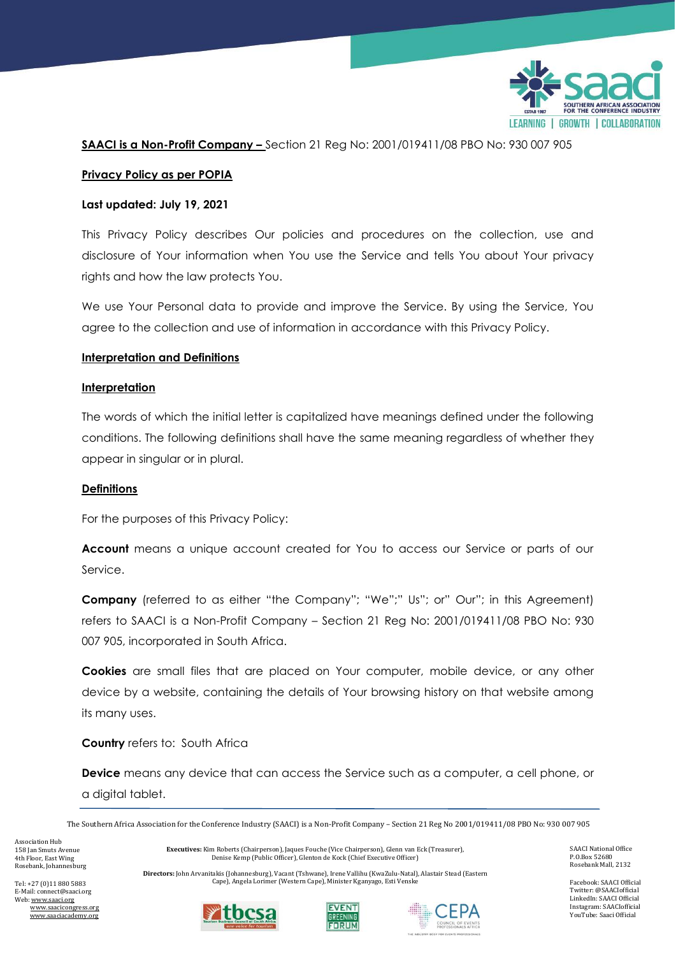

**SAACI is a Non-Profit Company –** Section 21 Reg No: 2001/019411/08 PBO No: 930 007 905

## **Privacy Policy as per POPIA**

### **Last updated: July 19, 2021**

This Privacy Policy describes Our policies and procedures on the collection, use and disclosure of Your information when You use the Service and tells You about Your privacy rights and how the law protects You.

We use Your Personal data to provide and improve the Service. By using the Service, You agree to the collection and use of information in accordance with this Privacy Policy.

### **Interpretation and Definitions**

### **Interpretation**

The words of which the initial letter is capitalized have meanings defined under the following conditions. The following definitions shall have the same meaning regardless of whether they appear in singular or in plural.

#### **Definitions**

For the purposes of this Privacy Policy:

**Account** means a unique account created for You to access our Service or parts of our Service.

**Company** (referred to as either "the Company"; "We";" Us"; or" Our"; in this Agreement) refers to SAACI is a Non-Profit Company – Section 21 Reg No: 2001/019411/08 PBO No: 930 007 905, incorporated in South Africa.

**Cookies** are small files that are placed on Your computer, mobile device, or any other device by a website, containing the details of Your browsing history on that website among its many uses.

**Country** refers to: South Africa

**Device** means any device that can access the Service such as a computer, a cell phone, or a digital tablet.

The Southern Africa Association for the Conference Industry (SAACI) is a Non-Profit Company – Section 21 Reg No 2001/019411/08 PBO No: 930 007 905

Association Hub 158 Jan Smuts Avenue 4th Floor, East Wing Rosebank, Johannesburg

**Executives:** Kim Roberts (Chairperson), Jaques Fouche (Vice Chairperson), Glenn van Eck (Treasurer), Denise Kemp (Public Officer), Glenton de Kock (Chief Executive Officer)

**Directors:** John Arvanitakis (Johannesburg), Vacant (Tshwane), Irene Vallihu (KwaZulu-Natal), Alastair Stead (Eastern Cape), Angela Lorimer (Western Cape), Minister Kganyago, Esti Venske

Tel: +27 (0)11 880 5883 E-Mail: connect@saaci.org Web[: www.saaci.org](http://www.saaci.org/) www.saacicongress.org www.saaciacademy.org







SAACI National Office P.O.Box 52680 Rosebank Mall, 2132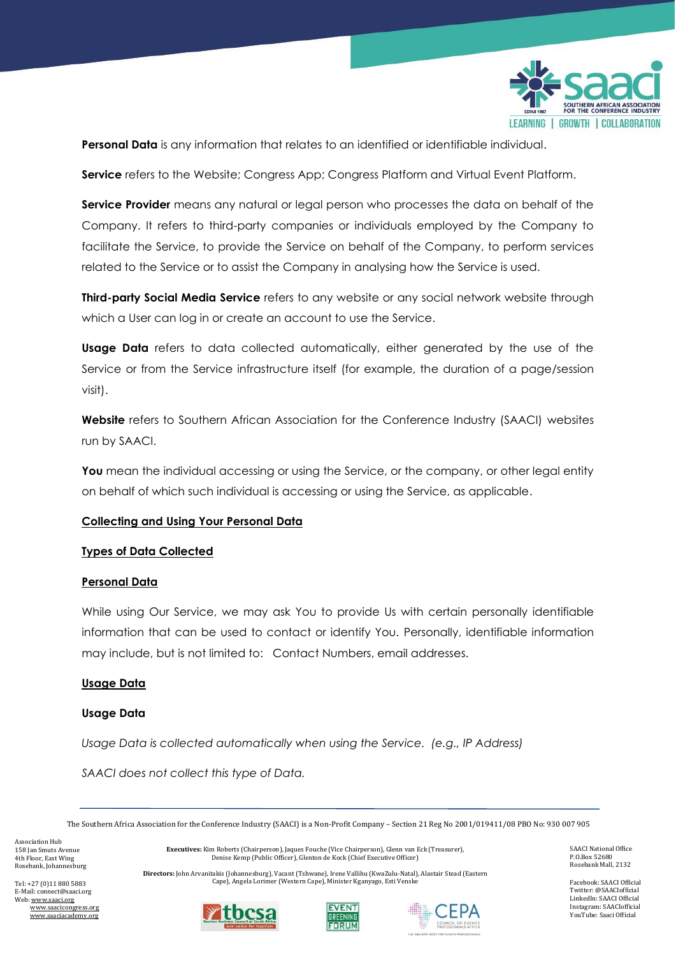

**Personal Data** is any information that relates to an identified or identifiable individual.

**Service** refers to the Website; Congress App; Congress Platform and Virtual Event Platform.

**Service Provider** means any natural or legal person who processes the data on behalf of the Company. It refers to third-party companies or individuals employed by the Company to facilitate the Service, to provide the Service on behalf of the Company, to perform services related to the Service or to assist the Company in analysing how the Service is used.

**Third-party Social Media Service** refers to any website or any social network website through which a User can log in or create an account to use the Service.

**Usage Data** refers to data collected automatically, either generated by the use of the Service or from the Service infrastructure itself (for example, the duration of a page/session visit).

**Website** refers to Southern African Association for the Conference Industry (SAACI) websites run by SAACI.

**You** mean the individual accessing or using the Service, or the company, or other legal entity on behalf of which such individual is accessing or using the Service, as applicable.

# **Collecting and Using Your Personal Data**

# **Types of Data Collected**

# **Personal Data**

While using Our Service, we may ask You to provide Us with certain personally identifiable information that can be used to contact or identify You. Personally, identifiable information may include, but is not limited to: Contact Numbers, email addresses.

# **Usage Data**

# **Usage Data**

*Usage Data is collected automatically when using the Service. (e.g., IP Address)* 

*SAACI does not collect this type of Data.*

The Southern Africa Association for the Conference Industry (SAACI) is a Non-Profit Company – Section 21 Reg No 2001/019411/08 PBO No: 930 007 905

Association Hub 158 Jan Smuts Avenue 4th Floor, East Wing Rosebank, Johannesburg

**Executives:** Kim Roberts (Chairperson), Jaques Fouche (Vice Chairperson), Glenn van Eck (Treasurer), Denise Kemp (Public Officer), Glenton de Kock (Chief Executive Officer)

**Directors:** John Arvanitakis (Johannesburg), Vacant (Tshwane), Irene Vallihu (KwaZulu-Natal), Alastair Stead (Eastern Cape), Angela Lorimer (Western Cape), Minister Kganyago, Esti Venske







SAACI National Office P.O.Box 52680 Rosebank Mall, 2132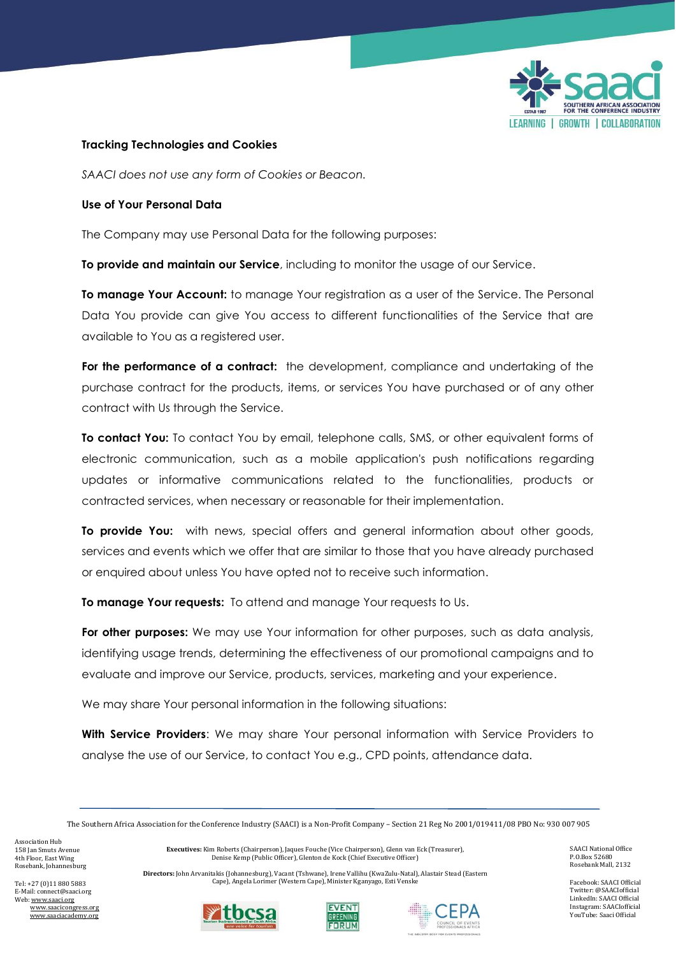

## **Tracking Technologies and Cookies**

*SAACI does not use any form of Cookies or Beacon.*

## **Use of Your Personal Data**

The Company may use Personal Data for the following purposes:

**To provide and maintain our Service**, including to monitor the usage of our Service.

**To manage Your Account:** to manage Your registration as a user of the Service. The Personal Data You provide can give You access to different functionalities of the Service that are available to You as a registered user.

For the performance of a contract: the development, compliance and undertaking of the purchase contract for the products, items, or services You have purchased or of any other contract with Us through the Service.

**To contact You:** To contact You by email, telephone calls, SMS, or other equivalent forms of electronic communication, such as a mobile application's push notifications regarding updates or informative communications related to the functionalities, products or contracted services, when necessary or reasonable for their implementation.

**To provide You:** with news, special offers and general information about other goods, services and events which we offer that are similar to those that you have already purchased or enquired about unless You have opted not to receive such information.

**To manage Your requests:** To attend and manage Your requests to Us.

**For other purposes:** We may use Your information for other purposes, such as data analysis, identifying usage trends, determining the effectiveness of our promotional campaigns and to evaluate and improve our Service, products, services, marketing and your experience.

We may share Your personal information in the following situations:

**With Service Providers**: We may share Your personal information with Service Providers to analyse the use of our Service, to contact You e.g., CPD points, attendance data.

The Southern Africa Association for the Conference Industry (SAACI) is a Non-Profit Company – Section 21 Reg No 2001/019411/08 PBO No: 930 007 905

Association Hub 158 Jan Smuts Avenue 4th Floor, East Wing Rosebank, Johannesburg

**Executives:** Kim Roberts (Chairperson), Jaques Fouche (Vice Chairperson), Glenn van Eck (Treasurer), Denise Kemp (Public Officer), Glenton de Kock (Chief Executive Officer)

**Directors:** John Arvanitakis (Johannesburg), Vacant (Tshwane), Irene Vallihu (KwaZulu-Natal), Alastair Stead (Eastern Cape), Angela Lorimer (Western Cape), Minister Kganyago, Esti Venske







SAACI National Office P.O.Box 52680 Rosebank Mall, 2132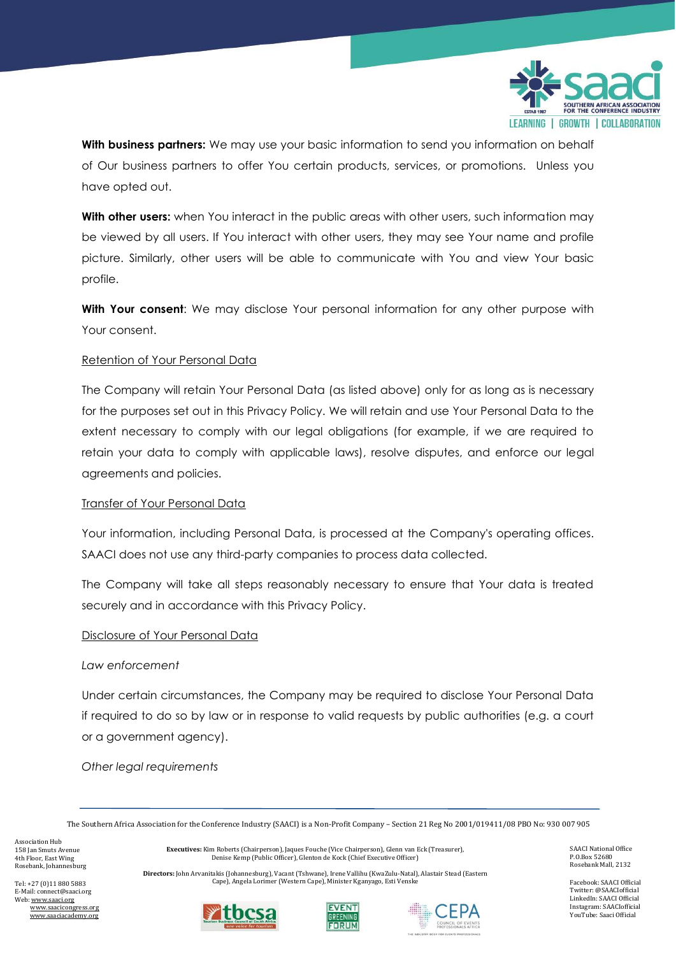

**With business partners:** We may use your basic information to send you information on behalf of Our business partners to offer You certain products, services, or promotions. Unless you have opted out.

**With other users:** when You interact in the public areas with other users, such information may be viewed by all users. If You interact with other users, they may see Your name and profile picture. Similarly, other users will be able to communicate with You and view Your basic profile.

**With Your consent**: We may disclose Your personal information for any other purpose with Your consent.

# Retention of Your Personal Data

The Company will retain Your Personal Data (as listed above) only for as long as is necessary for the purposes set out in this Privacy Policy. We will retain and use Your Personal Data to the extent necessary to comply with our legal obligations (for example, if we are required to retain your data to comply with applicable laws), resolve disputes, and enforce our legal agreements and policies.

# Transfer of Your Personal Data

Your information, including Personal Data, is processed at the Company's operating offices. SAACI does not use any third-party companies to process data collected.

The Company will take all steps reasonably necessary to ensure that Your data is treated securely and in accordance with this Privacy Policy.

#### Disclosure of Your Personal Data

#### *Law enforcement*

Under certain circumstances, the Company may be required to disclose Your Personal Data if required to do so by law or in response to valid requests by public authorities (e.g. a court or a government agency).

*Other legal requirements*

The Southern Africa Association for the Conference Industry (SAACI) is a Non-Profit Company – Section 21 Reg No 2001/019411/08 PBO No: 930 007 905

Association Hub 158 Jan Smuts Avenue 4th Floor, East Wing Rosebank, Johannesburg

**Executives:** Kim Roberts (Chairperson), Jaques Fouche (Vice Chairperson), Glenn van Eck (Treasurer), Denise Kemp (Public Officer), Glenton de Kock (Chief Executive Officer)

**Directors:** John Arvanitakis (Johannesburg), Vacant (Tshwane), Irene Vallihu (KwaZulu-Natal), Alastair Stead (Eastern Cape), Angela Lorimer (Western Cape), Minister Kganyago, Esti Venske

Tel: +27 (0)11 880 5883 E-Mail: connect@saaci.org Web[: www.saaci.org](http://www.saaci.org/) www.saacicongress.org www.saaciacademy.org







SAACI National Office P.O.Box 52680 Rosebank Mall, 2132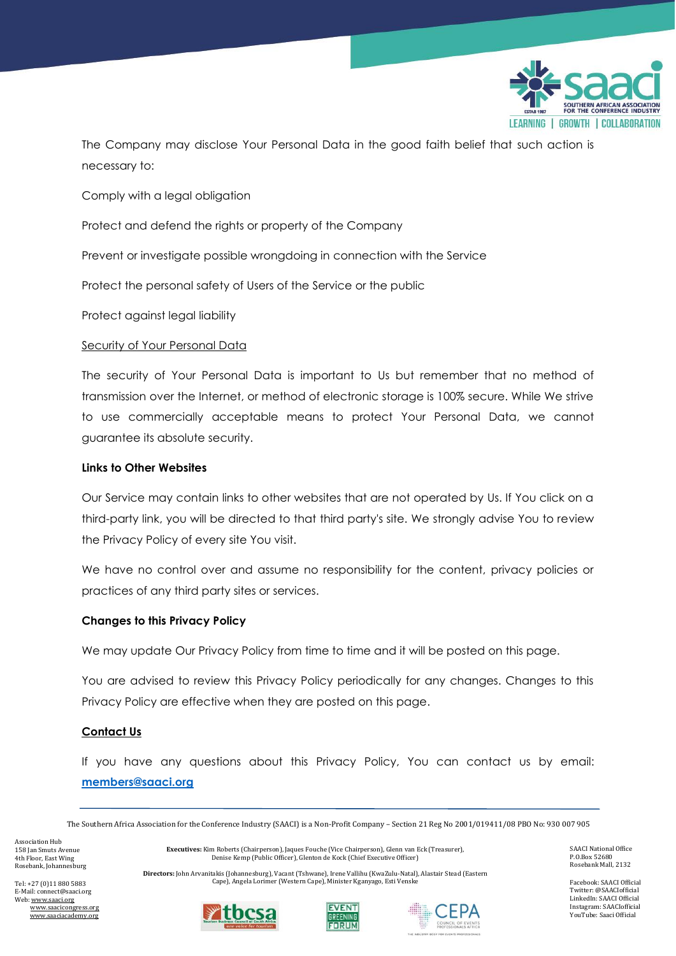

The Company may disclose Your Personal Data in the good faith belief that such action is necessary to:

Comply with a legal obligation

Protect and defend the rights or property of the Company

Prevent or investigate possible wrongdoing in connection with the Service

Protect the personal safety of Users of the Service or the public

Protect against legal liability

# Security of Your Personal Data

The security of Your Personal Data is important to Us but remember that no method of transmission over the Internet, or method of electronic storage is 100% secure. While We strive to use commercially acceptable means to protect Your Personal Data, we cannot guarantee its absolute security.

# **Links to Other Websites**

Our Service may contain links to other websites that are not operated by Us. If You click on a third-party link, you will be directed to that third party's site. We strongly advise You to review the Privacy Policy of every site You visit.

We have no control over and assume no responsibility for the content, privacy policies or practices of any third party sites or services.

# **Changes to this Privacy Policy**

We may update Our Privacy Policy from time to time and it will be posted on this page.

You are advised to review this Privacy Policy periodically for any changes. Changes to this Privacy Policy are effective when they are posted on this page.

# **Contact Us**

If you have any questions about this Privacy Policy, You can contact us by email: **[members@saaci.org](mailto:members@saaci.org)**

The Southern Africa Association for the Conference Industry (SAACI) is a Non-Profit Company – Section 21 Reg No 2001/019411/08 PBO No: 930 007 905

Association Hub 158 Jan Smuts Avenue 4th Floor, East Wing Rosebank, Johannesburg

**Executives:** Kim Roberts (Chairperson), Jaques Fouche (Vice Chairperson), Glenn van Eck (Treasurer), Denise Kemp (Public Officer), Glenton de Kock (Chief Executive Officer)

**Directors:** John Arvanitakis (Johannesburg), Vacant (Tshwane), Irene Vallihu (KwaZulu-Natal), Alastair Stead (Eastern Cape), Angela Lorimer (Western Cape), Minister Kganyago, Esti Venske

Tel: +27 (0)11 880 5883 E-Mail: connect@saaci.org Web[: www.saaci.org](http://www.saaci.org/) www.saacicongress.org www.saaciacademy.org







SAACI National Office P.O.Box 52680 Rosebank Mall, 2132